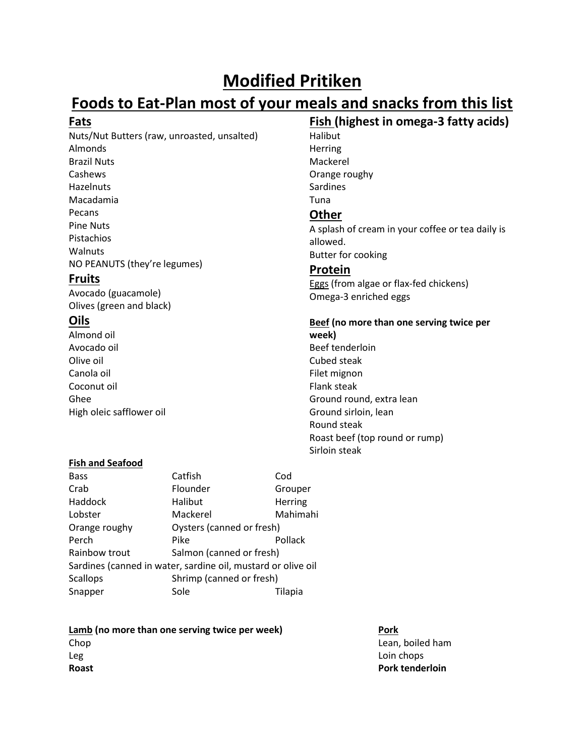# **Modified Pritiken**

# **Foods to Eat-Plan most of your meals and snacks from this list**

# **Fats**

Nuts/Nut Butters (raw, unroasted, unsalted) Almonds Brazil Nuts Cashews Hazelnuts Macadamia Pecans Pine Nuts Pistachios Walnuts NO PEANUTS (they're legumes)

# **Fruits**

Avocado (guacamole) Olives (green and black)

# **Oils**

Almond oil Avocado oil Olive oil Canola oil Coconut oil Ghee High oleic safflower oil

**Fish (highest in omega-3 fatty acids)** Halibut Herring Mackerel Orange roughy Sardines Tuna

# **Other**

A splash of cream in your coffee or tea daily is allowed. Butter for cooking

# **Protein**

Eggs (from algae or flax-fed chickens) Omega-3 enriched eggs

# **Beef (no more than one serving twice per week)** Beef tenderloin Cubed steak

Filet mignon Flank steak Ground round, extra lean Ground sirloin, lean Round steak Roast beef (top round or rump) Sirloin steak

## **Fish and Seafood**

| <b>Bass</b>                                                  | Catfish                   | Cod      |  |  |  |
|--------------------------------------------------------------|---------------------------|----------|--|--|--|
| Crab                                                         | Flounder                  | Grouper  |  |  |  |
| Haddock                                                      | Halibut                   | Herring  |  |  |  |
| Lobster                                                      | Mackerel                  | Mahimahi |  |  |  |
| Orange roughy                                                | Oysters (canned or fresh) |          |  |  |  |
| Perch                                                        | Pike                      | Pollack  |  |  |  |
| Rainbow trout                                                | Salmon (canned or fresh)  |          |  |  |  |
| Sardines (canned in water, sardine oil, mustard or olive oil |                           |          |  |  |  |
| <b>Scallops</b>                                              | Shrimp (canned or fresh)  |          |  |  |  |
| Snapper                                                      | Sole                      | Tilapia  |  |  |  |

**Lamb** (no more than one serving twice per week) **Pork** Chop **Lean, boiled ham** Leg Loin chops and the contract of the contract of the contract of the contract of the contract of the contract of the contract of the contract of the contract of the contract of the contract of the contract of the contrac **Roast Pork tenderloin**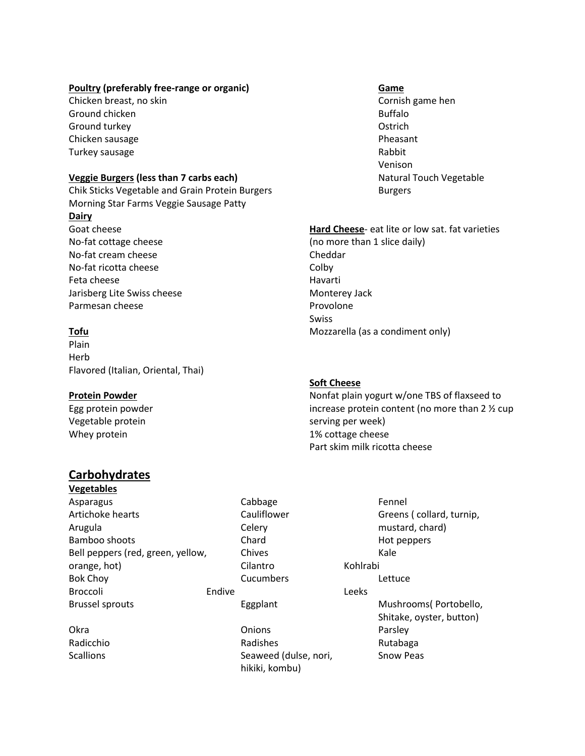#### **Poultry** (preferably free-range or organic) **Game**

Chicken breast, no skin Cornish game hen Cornish game hen Ground chicken and the state of the state of the state of the Buffalo Buffalo Ground turkey **Calculation** Controllering Controllering Controllering Controllering Controllering Controllering Controllering Controllering Controllering Controllering Controllering Controllering Controllering Controllerin Chicken sausage **Pheasant** Turkey sausage **Rabbit Rabbit Rabbit Rabbit** 

#### **Veggie Burgers (less than 7 carbs each)** Natural Touch Vegetable

Chik Sticks Vegetable and Grain Protein Burgers Burgers Morning Star Farms Veggie Sausage Patty **Dairy** Goat cheese No-fat cottage cheese No-fat cream cheese No-fat ricotta cheese Feta cheese Jarisberg Lite Swiss cheese Parmesan cheese

### **Tofu**

Plain Herb Flavored (Italian, Oriental, Thai)

#### **Protein Powder**

Egg protein powder Vegetable protein Whey protein

# **Carbohydrates**

**Vegetables**

Asparagus **Cabbage Fennel** Artichoke hearts **Cauliflower** Cauliflower Greens ( collard, turnip, Arugula **Celery** Celery **Celery** mustard, chard) Bamboo shoots **Chard Chard Hot peppers** Bell peppers (red, green, yellow, Chives Chives Kale orange, hot) Cilantro Company Constants Constants Constants and Constants and Constants Constants Constants and Kohlrabi Bok Choy **Cucumbers** Cucumbers **Lettuce** Broccoli **Endive** Endive **Leeks** 

Okra Onions Parsley Radicchio **Radishes** Radishes Radishes Rutabaga Scallions Seaweed (dulse, nori, Snow Peas hikiki, kombu)

Venison

#### **Hard Cheese**- eat lite or low sat. fat varieties

(no more than 1 slice daily) Cheddar **Colby** Havarti Monterey Jack Provolone Swiss Mozzarella (as a condiment only)

#### **Soft Cheese**

Nonfat plain yogurt w/one TBS of flaxseed to increase protein content (no more than 2 ½ cup serving per week) 1% cottage cheese Part skim milk ricotta cheese

Brussel sprouts **Eggplant** Eggplant Mushrooms (Portobello, Shitake, oyster, button)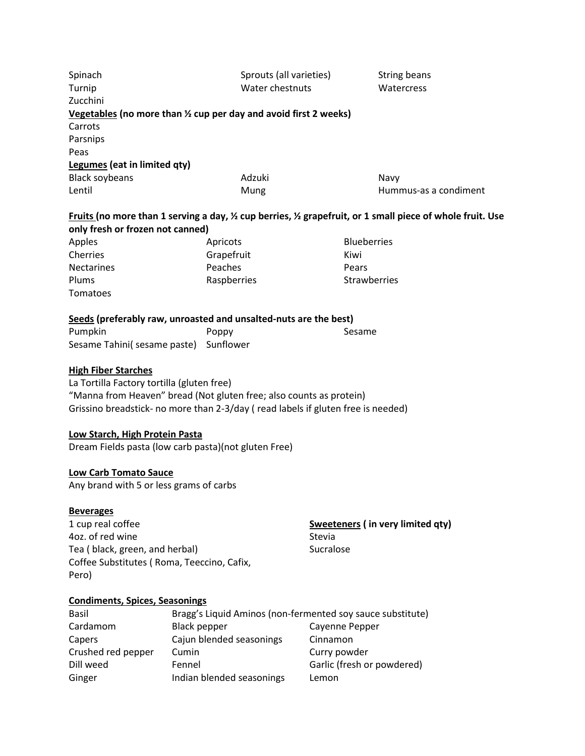| Spinach<br>Turnip                                                                       |                     | Sprouts (all varieties)<br>Water chestnuts                                                                                                              |              | <b>String beans</b><br>Watercress                                                                                               |  |
|-----------------------------------------------------------------------------------------|---------------------|---------------------------------------------------------------------------------------------------------------------------------------------------------|--------------|---------------------------------------------------------------------------------------------------------------------------------|--|
| Zucchini                                                                                |                     |                                                                                                                                                         |              |                                                                                                                                 |  |
|                                                                                         |                     | Vegetables (no more than $\frac{1}{2}$ cup per day and avoid first 2 weeks)                                                                             |              |                                                                                                                                 |  |
| Carrots                                                                                 |                     |                                                                                                                                                         |              |                                                                                                                                 |  |
| Parsnips                                                                                |                     |                                                                                                                                                         |              |                                                                                                                                 |  |
| Peas                                                                                    |                     |                                                                                                                                                         |              |                                                                                                                                 |  |
| Legumes (eat in limited qty)<br><b>Black soybeans</b>                                   |                     | Adzuki                                                                                                                                                  |              | Navy                                                                                                                            |  |
| Lentil                                                                                  |                     | Mung                                                                                                                                                    |              | Hummus-as a condiment                                                                                                           |  |
|                                                                                         |                     |                                                                                                                                                         |              |                                                                                                                                 |  |
| only fresh or frozen not canned)                                                        |                     |                                                                                                                                                         |              | Fruits (no more than 1 serving a day, $\frac{1}{2}$ cup berries, $\frac{1}{2}$ grapefruit, or 1 small piece of whole fruit. Use |  |
| Apples                                                                                  |                     | Apricots                                                                                                                                                |              | <b>Blueberries</b>                                                                                                              |  |
| Cherries                                                                                |                     | Grapefruit                                                                                                                                              |              | Kiwi                                                                                                                            |  |
| Nectarines                                                                              |                     | Peaches                                                                                                                                                 |              | Pears                                                                                                                           |  |
| Plums                                                                                   |                     | Raspberries                                                                                                                                             |              | Strawberries                                                                                                                    |  |
| Tomatoes                                                                                |                     |                                                                                                                                                         |              |                                                                                                                                 |  |
|                                                                                         |                     |                                                                                                                                                         |              |                                                                                                                                 |  |
|                                                                                         |                     | Seeds (preferably raw, unroasted and unsalted-nuts are the best)                                                                                        |              |                                                                                                                                 |  |
| Pumpkin<br>Sesame Tahini( sesame paste) Sunflower                                       |                     | Poppy                                                                                                                                                   |              | Sesame                                                                                                                          |  |
|                                                                                         |                     |                                                                                                                                                         |              |                                                                                                                                 |  |
| <b>High Fiber Starches</b><br>La Tortilla Factory tortilla (gluten free)                |                     | "Manna from Heaven" bread (Not gluten free; also counts as protein)<br>Grissino breadstick- no more than 2-3/day (read labels if gluten free is needed) |              |                                                                                                                                 |  |
| Low Starch, High Protein Pasta<br>Dream Fields pasta (low carb pasta) (not gluten Free) |                     |                                                                                                                                                         |              |                                                                                                                                 |  |
| <b>Low Carb Tomato Sauce</b>                                                            |                     |                                                                                                                                                         |              |                                                                                                                                 |  |
| Any brand with 5 or less grams of carbs                                                 |                     |                                                                                                                                                         |              |                                                                                                                                 |  |
|                                                                                         |                     |                                                                                                                                                         |              |                                                                                                                                 |  |
| <b>Beverages</b>                                                                        |                     |                                                                                                                                                         |              |                                                                                                                                 |  |
| 1 cup real coffee                                                                       |                     |                                                                                                                                                         |              | Sweeteners (in very limited qty)                                                                                                |  |
| 4oz. of red wine                                                                        |                     |                                                                                                                                                         | Stevia       |                                                                                                                                 |  |
| Tea (black, green, and herbal)                                                          |                     | Sucralose                                                                                                                                               |              |                                                                                                                                 |  |
| Coffee Substitutes (Roma, Teeccino, Cafix,<br>Pero)                                     |                     |                                                                                                                                                         |              |                                                                                                                                 |  |
| <b>Condiments, Spices, Seasonings</b>                                                   |                     |                                                                                                                                                         |              |                                                                                                                                 |  |
| Basil                                                                                   |                     | Bragg's Liquid Aminos (non-fermented soy sauce substitute)                                                                                              |              |                                                                                                                                 |  |
| Cardamom                                                                                | <b>Black pepper</b> |                                                                                                                                                         |              | Cayenne Pepper                                                                                                                  |  |
| Capers                                                                                  |                     | Cajun blended seasonings                                                                                                                                | Cinnamon     |                                                                                                                                 |  |
| Crushed red pepper                                                                      | Cumin               |                                                                                                                                                         | Curry powder |                                                                                                                                 |  |
| Dill weed                                                                               | Fennel              |                                                                                                                                                         |              | Garlic (fresh or powdered)                                                                                                      |  |
| Ginger                                                                                  |                     | Indian blended seasonings                                                                                                                               | Lemon        |                                                                                                                                 |  |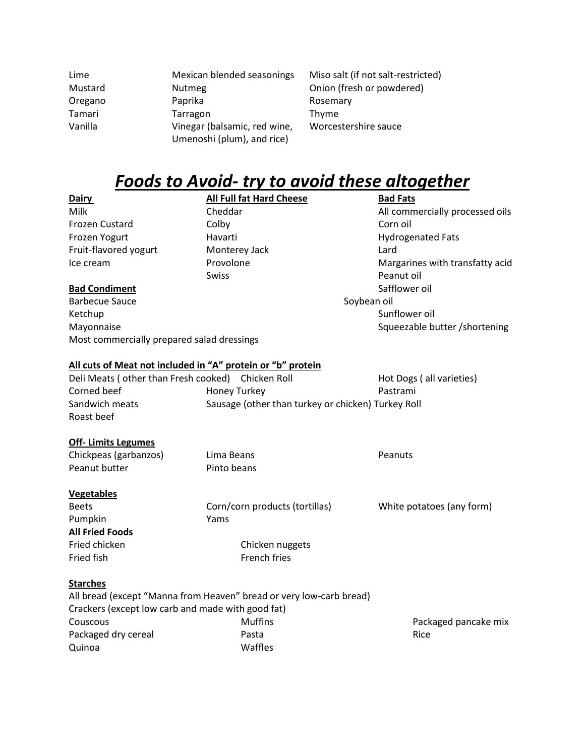| Lime                                 | Mexican blended seasonings                                          | Miso salt (if not salt-restricted)                 |                                 |
|--------------------------------------|---------------------------------------------------------------------|----------------------------------------------------|---------------------------------|
| Mustard                              | <b>Nutmeg</b>                                                       | Onion (fresh or powdered)                          |                                 |
| Oregano                              | Paprika                                                             | Rosemary                                           |                                 |
| Tamari                               | Tarragon                                                            | Thyme                                              |                                 |
| Vanilla                              | Vinegar (balsamic, red wine,                                        | Worcestershire sauce                               |                                 |
|                                      | Umenoshi (plum), and rice)                                          |                                                    |                                 |
|                                      |                                                                     |                                                    |                                 |
|                                      |                                                                     |                                                    |                                 |
|                                      | <u>Foods to Avoid- try to avoid these altogether</u>                |                                                    |                                 |
| Dairy                                | <b>All Full fat Hard Cheese</b>                                     |                                                    | <b>Bad Fats</b>                 |
| Milk                                 | Cheddar                                                             |                                                    | All commercially processed oils |
| Frozen Custard                       | Colby                                                               |                                                    | Corn oil                        |
| Frozen Yogurt                        | Havarti                                                             |                                                    | <b>Hydrogenated Fats</b>        |
| Fruit-flavored yogurt                | Monterey Jack                                                       | Lard                                               |                                 |
| Ice cream                            | Provolone                                                           |                                                    | Margarines with transfatty acid |
|                                      | <b>Swiss</b>                                                        |                                                    | Peanut oil                      |
| <b>Bad Condiment</b>                 |                                                                     |                                                    | Safflower oil                   |
| <b>Barbecue Sauce</b>                |                                                                     | Soybean oil                                        |                                 |
| Ketchup                              |                                                                     |                                                    | Sunflower oil                   |
| Mayonnaise                           |                                                                     |                                                    | Squeezable butter /shortening   |
|                                      | Most commercially prepared salad dressings                          |                                                    |                                 |
|                                      |                                                                     |                                                    |                                 |
|                                      | All cuts of Meat not included in "A" protein or "b" protein         |                                                    |                                 |
| Deli Meats (other than Fresh cooked) | Chicken Roll                                                        |                                                    | Hot Dogs (all varieties)        |
| Corned beef                          | <b>Honey Turkey</b>                                                 |                                                    | Pastrami                        |
| Sandwich meats                       |                                                                     | Sausage (other than turkey or chicken) Turkey Roll |                                 |
| Roast beef                           |                                                                     |                                                    |                                 |
| <b>Off-Limits Legumes</b>            |                                                                     |                                                    |                                 |
| Chickpeas (garbanzos)                | Lima Beans                                                          |                                                    | Peanuts                         |
| Peanut butter                        | Pinto beans                                                         |                                                    |                                 |
|                                      |                                                                     |                                                    |                                 |
| <b>Vegetables</b>                    |                                                                     |                                                    |                                 |
| Beets                                | Corn/corn products (tortillas)                                      |                                                    | White potatoes (any form)       |
| Pumpkin                              | Yams                                                                |                                                    |                                 |
| <b>All Fried Foods</b>               |                                                                     |                                                    |                                 |
| Fried chicken                        | Chicken nuggets                                                     |                                                    |                                 |
| Fried fish                           | French fries                                                        |                                                    |                                 |
| <b>Starches</b>                      |                                                                     |                                                    |                                 |
|                                      | All bread (except "Manna from Heaven" bread or very low-carb bread) |                                                    |                                 |
|                                      |                                                                     |                                                    |                                 |
|                                      | Crackers (except low carb and made with good fat)                   |                                                    |                                 |
| Couscous                             | <b>Muffins</b>                                                      |                                                    | Packaged pancake mix            |
| Packaged dry cereal                  | Pasta                                                               |                                                    | Rice                            |
| Quinoa                               | Waffles                                                             |                                                    |                                 |